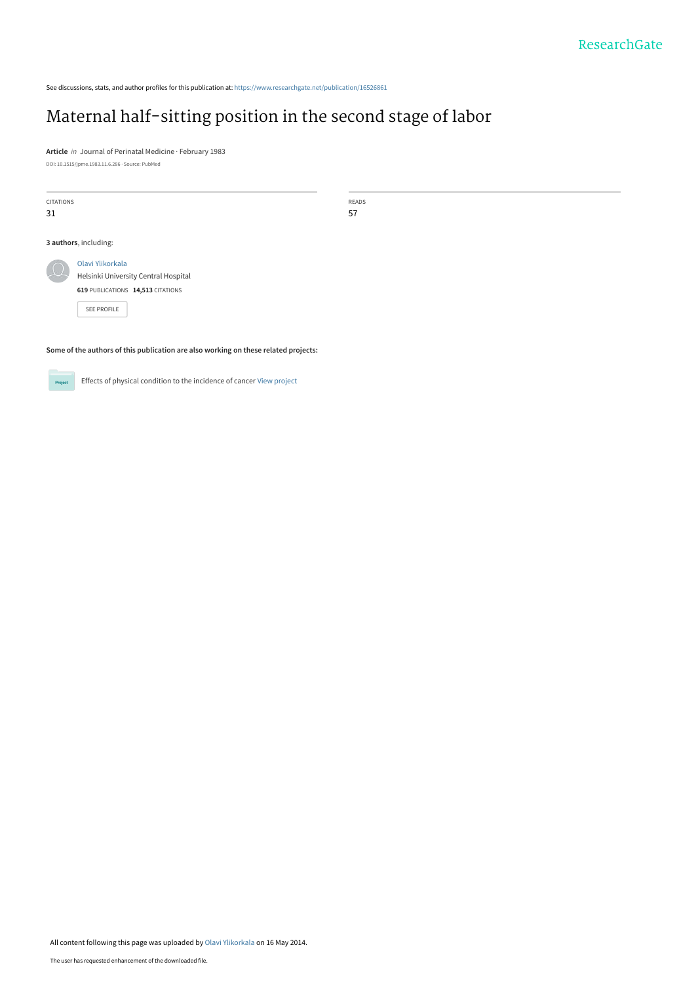See discussions, stats, and author profiles for this publication at: [https://www.researchgate.net/publication/16526861](https://www.researchgate.net/publication/16526861_Maternal_half-sitting_position_in_the_second_stage_of_labor?enrichId=rgreq-ab7fcfcd3b5091c73f3f93ad14f62b0f-XXX&enrichSource=Y292ZXJQYWdlOzE2NTI2ODYxO0FTOjk3NjExNTMyOTk2NjE1QDE0MDAyODM4MTE0NTA%3D&el=1_x_2&_esc=publicationCoverPdf)

# [Maternal half-sitting position in the second stage of labor](https://www.researchgate.net/publication/16526861_Maternal_half-sitting_position_in_the_second_stage_of_labor?enrichId=rgreq-ab7fcfcd3b5091c73f3f93ad14f62b0f-XXX&enrichSource=Y292ZXJQYWdlOzE2NTI2ODYxO0FTOjk3NjExNTMyOTk2NjE1QDE0MDAyODM4MTE0NTA%3D&el=1_x_3&_esc=publicationCoverPdf)

**Article** in Journal of Perinatal Medicine · February 1983 DOI: 10.1515/jpme.1983.11.6.286 · Source: PubMed

| <b>CITATIONS</b><br>31 |                                                                                                                     | READS<br>57 |  |  |  |  |
|------------------------|---------------------------------------------------------------------------------------------------------------------|-------------|--|--|--|--|
|                        | 3 authors, including:                                                                                               |             |  |  |  |  |
|                        | Olavi Ylikorkala<br>Helsinki University Central Hospital<br>619 PUBLICATIONS 14,513 CITATIONS<br><b>SEE PROFILE</b> |             |  |  |  |  |
|                        | Some of the authors of this publication are also working on these related projects:                                 |             |  |  |  |  |

Effects of physical condition to the incidence of cancer [View project](https://www.researchgate.net/project/Effects-of-physical-condition-to-the-incidence-of-cancer?enrichId=rgreq-ab7fcfcd3b5091c73f3f93ad14f62b0f-XXX&enrichSource=Y292ZXJQYWdlOzE2NTI2ODYxO0FTOjk3NjExNTMyOTk2NjE1QDE0MDAyODM4MTE0NTA%3D&el=1_x_9&_esc=publicationCoverPdf) Project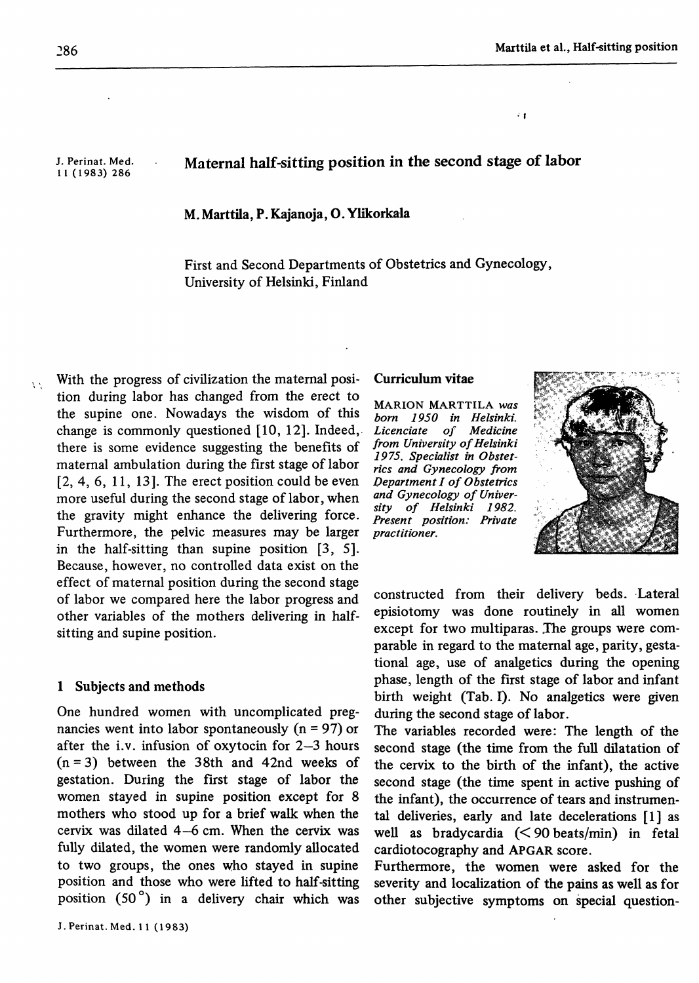$\epsilon$ 

J. Perinat. Med. 11 (1983) 286

# Maternal half-sitting position in the second stage of labor

M. Marttila, P. Kajanoja, O. Ylikorkala

First and Second Departments of Obstetrics and Gynecology, University of Helsinki, Finland

With the progress of civilization the maternal position during labor has changed from the erect to the supine one. Nowadays the wisdom of this change is commonly questioned [10, 12]. Indeed, there is some evidence suggesting the benefits of maternal ambulation during the first stage of labor  $[2, 4, 6, 11, 13]$ . The erect position could be even more useful during the second stage of labor, when the gravity might enhance the delivering force. Furthermore, the pelvic measures may be larger in the half-sitting than supine position [3, 5]. Because, however, no controlled data exist on the effect of maternal position during the second stage of labor we compared here the labor progress and other variables of the mothers delivering in halfsitting and supine position.

### 1 Subjects and methods

One hundred women with uncomplicated pregnancies went into labor spontaneously  $(n = 97)$  or after the i.v. infusion of oxytocin for 2—3 hours  $(n = 3)$  between the 38th and 42nd weeks of gestation. During the first stage of labor the women stayed in supine position except for 8 mothers who stood up for a brief walk when the cervix was dilated 4—6 cm. When the cervix was fully dilated, the women were randomly allocated to two groups, the ones who stayed in supine position and those who were lifted to half-sitting position (50°) in a delivery chair which was

#### Curriculum vitae

MARION MARTTILA *was born 1950 in Helsinki. Licenciate of Medicine from University of Helsinki 1975. Specialist in Obstetrics and Gynecology from Department I of Obstetrics and Gynecology of University of Helsinki 1982. Present position: Private practitioner.*



constructed from their delivery beds. Lateral episiotomy was done routinely in all women except for two multiparas. The groups were comparable in regard to the maternal age, parity, gestational age, use of analgetics during the opening phase, length of the first stage of labor and infant birth weight (Tab. I). No analgetics were given during the second stage of labor.

The variables recorded were: The length of the second stage (the time from the full dilatation of the cervix to the birth of the infant), the active second stage (the time spent in active pushing of the infant), the occurrence of tears and instrumental deliveries, early and late decelerations [1] as well as bradycardia (< 90 beats/min) in fetal cardiotocography and APGAR score.

Furthermore, the women were asked for the severity and localization of the pains as well as for other subjective symptoms on special question-

A.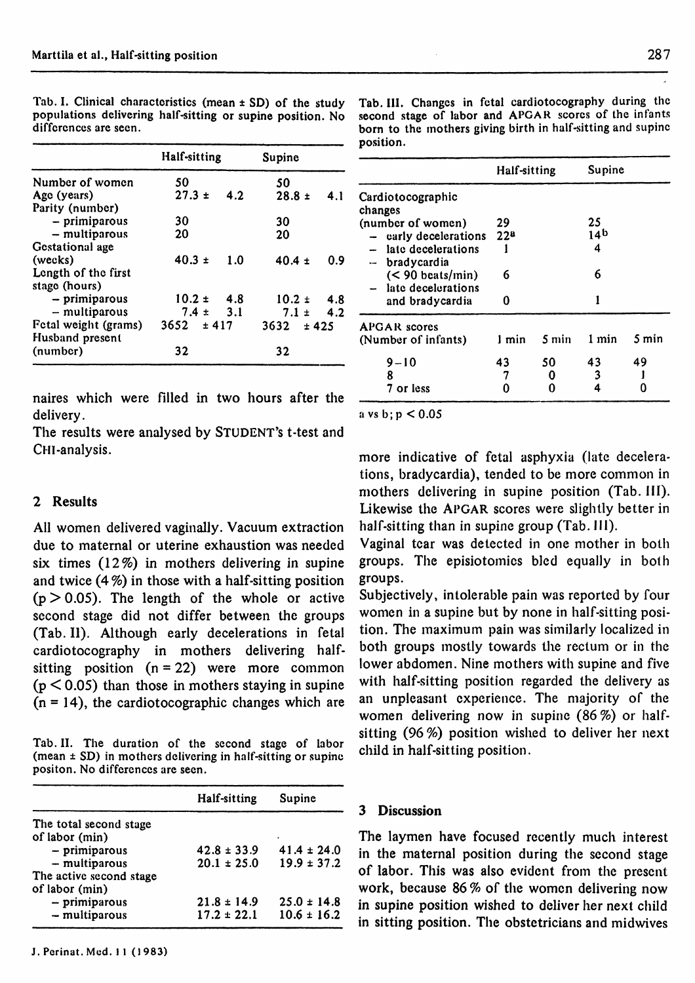|                                                                                                                               | Half-sitting  |      | Supine     |       |
|-------------------------------------------------------------------------------------------------------------------------------|---------------|------|------------|-------|
| Number of women                                                                                                               | 50            |      | 50         |       |
| Age (years)                                                                                                                   | $27.3 \pm$    | 4.2. | $28.8 \pm$ | 4.1   |
| Parity (number)                                                                                                               |               |      |            |       |
| - primiparous                                                                                                                 | 30            |      | 30         |       |
|                                                                                                                               | 20            |      | 20         |       |
|                                                                                                                               |               |      |            |       |
| (wecks)                                                                                                                       | $40.3 \pm$    | 1.0  |            | 0.9   |
|                                                                                                                               |               |      |            |       |
|                                                                                                                               |               |      |            |       |
|                                                                                                                               | $10.2 \pm$    | -4.8 | $10.2 \pm$ | 4.8   |
|                                                                                                                               | $7.4 \pm 3.1$ |      | $7.1 \pm$  | 4.2   |
| Fetal weight (grams)                                                                                                          | $3652 + 417$  |      | 3632       | ± 425 |
| (number)                                                                                                                      | 32            |      | 32         |       |
| - multiparous<br>Gestational age<br>Length of the first<br>stage (hours)<br>- primiparous<br>- multiparous<br>Husband present |               |      | $40.4 \pm$ |       |

Tab. I. Clinical characteristics (mean ± SD) of the study populations delivering half-sitting or supine position. No differences are seen.

Tab. III. Changes in fetal cardiotocography during the second stage of labor and APGAR scores of the infants born to the mothers giving birth in half-sitting and supine position.

|                                                  | Half-sitting    |       | Supine          |       |
|--------------------------------------------------|-----------------|-------|-----------------|-------|
| Cardiotocographic<br>changes                     |                 |       |                 |       |
| (number of women)                                | 29              |       | 25              |       |
| $-$ carly decelerations                          | 22 <sup>a</sup> |       | 14 <sup>b</sup> |       |
| $-$ late decelerations<br>bradycardia<br><b></b> |                 |       | 4               |       |
| $(< 90$ beats/min)<br>late decelerations         | 6               |       | 6               |       |
| and bradycardia                                  | Ω               |       |                 |       |
| <b>APGAR</b> scores                              |                 |       |                 |       |
| (Number of infants)                              | 1 min           | 5 min | 1 min           | 5 min |
| $9 - 10$                                         | 43              | 50    | 43              | 49    |
| 8                                                | 7               | 0     | 3               |       |
| 7 or less                                        | n               | O     | 4               | 0     |

naires which were filled in two hours after the delivery.

The results were analysed by STUDENT'S t-test and CHI-analysis.

# 2 Results

All women delivered vaginally. Vacuum extraction due to maternal or uterine exhaustion was needed six times (12%) in mothers delivering in supine and twice (4 *%)* in those with a half-sitting position  $(p > 0.05)$ . The length of the whole or active second stage did not differ between the groups (Tab. II). Although early decelerations in fetal cardiotocography in mothers delivering halfsitting position  $(n = 22)$  were more common  $(p < 0.05)$  than those in mothers staying in supine  $(n = 14)$ , the cardiotocographic changes which are

Tab. II. The duration of the second stage of labor (mean ± SD) in mothers delivering in half-sitting or supine positon. No differences are seen.

|                                                              | Half-sitting                       | Supine                             |
|--------------------------------------------------------------|------------------------------------|------------------------------------|
| The total second stage<br>of labor (min)                     |                                    |                                    |
| $-$ primiparous                                              | $42.8 \pm 33.9$                    | $41.4 \pm 24.0$                    |
| $-$ multiparous<br>The active second stage<br>of labor (min) | $20.1 \pm 25.0$                    | $19.9 \pm 37.2$                    |
| - primiparous<br>$-$ multiparous                             | $21.8 \pm 14.9$<br>$17.2 \pm 22.1$ | $25.0 \pm 14.8$<br>$10.6 \pm 16.2$ |

J. Perinat. Med. 11 (1983)

more indicative of fetal asphyxia (late decelerations, bradycardia), tended to be more common in mothers delivering in supine position (Tab. III). Likewise the APGAR scores were slightly better in half-sitting than in supine group (Tab. III).

Vaginal tear was detected in one mother in both groups. The episiotomies bled equally in both groups.

Subjectively, intolerable pain was reported by four women in a supine but by none in half-sitting position. The maximum pain was similarly localized in both groups mostly towards the rectum or in the lower abdomen. Nine mothers with supine and five with half-sitting position regarded the delivery as an unpleasant experience. The majority of the women delivering now in supine (86%) or halfsitting (96 %) position wished to deliver her next child in half-sitting position.

## 3 Discussion

a vs  $b$ ;  $p < 0.05$ 

The laymen have focused recently much interest in the maternal position during the second stage of labor. This was also evident from the present work, because 86 *%* of the women delivering now in supine position wished to deliver her next child in sitting position. The obstetricians and midwives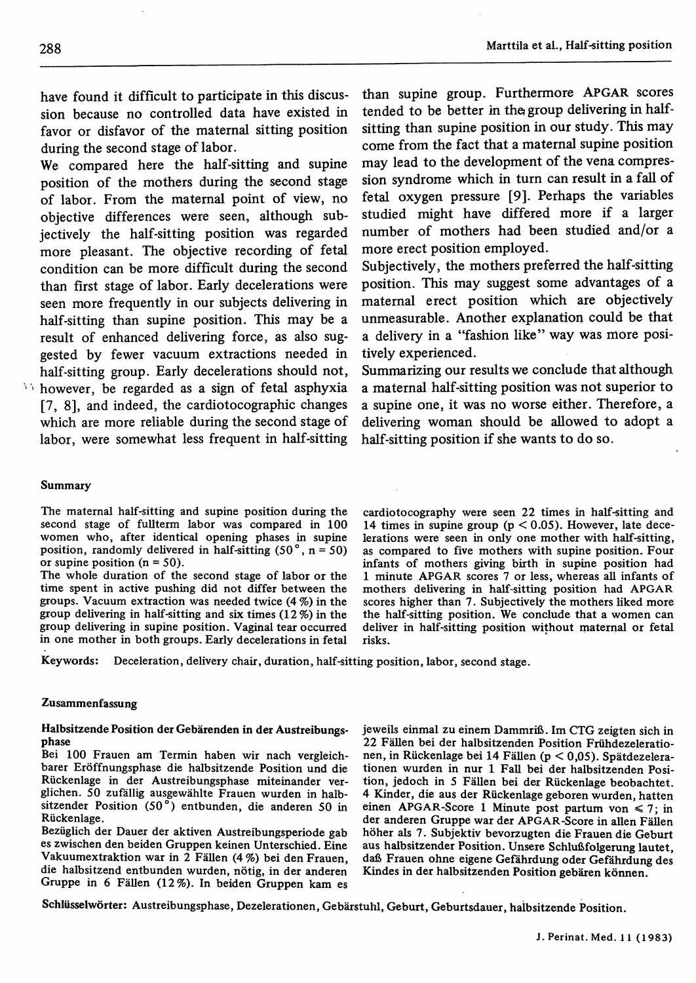have found it difficult to participate in this discussion because no controlled data have existed in favor or disfavor of the maternal sitting position during the second stage of labor.

We compared here the half-sitting and supine position of the mothers during the second stage of labor. From the maternal point of view, no objective differences were seen, although subjectively the half-sitting position was regarded more pleasant. The objective recording of fetal condition can be more difficult during the second than first stage of labor. Early decelerations were seen more frequently in our subjects delivering in half-sitting than supine position. This may be a result of enhanced delivering force, as also suggested by fewer vacuum extractions needed in half-sitting group. Early decelerations should not,

 $\lambda$  however, be regarded as a sign of fetal asphyxia [7, 8], and indeed, the cardiotocographic changes which are more reliable during the second stage of labor, were somewhat less frequent in half-sitting

than supine group. Furthermore APGAR scores tended to be better in the group delivering in halfsitting than supine position in our study. This may come from the fact that a maternal supine position may lead to the development of the vena compression syndrome which in turn can result in a fall of fetal oxygen pressure [9]. Perhaps the variables studied might have differed more if a larger number of mothers had been studied and/or a more erect position employed.

Subjectively, the mothers preferred the half-sitting position. This may suggest some advantages of a maternal erect position which are objectively unmeasurable. Another explanation could be that a delivery in a "fashion like" way was more positively experienced.

Summarizing our results we conclude that although a maternal half-sitting position was not superior to a supine one, it was no worse either. Therefore, a delivering woman should be allowed to adopt a half-sitting position if she wants to do so.

#### Summary

The maternal half-sitting and supine position during the second stage of fullterm labor was compared in 100 women who, after identical opening phases in supine position, randomly delivered in half-sitting  $(50^\circ, n = 50)$ or supine position  $(n = 50)$ .

The whole duration of the second stage of labor or the time spent in active pushing did not differ between the groups. Vacuum extraction was needed twice (4 %) in the group delivering in half-sitting and six times (12%) in the group delivering in supine position. Vaginal tear occurred in one mother in both groups. Early decelerations in fetal cardiotocography were seen 22 times in half-sitting and 14 times in supine group ( $p < 0.05$ ). However, late decelerations were seen in only one mother with half-sitting, as compared to five mothers with supine position. Four infants of mothers giving birth in supine position had 1 minute APGAR scores 7 or less, whereas all infants of mothers delivering in half-sitting position had APGAR scores higher than 7. Subjectively the mothers liked more the half-sitting position. We conclude that a women can deliver in half-sitting position without maternal or fetal risks.

Keywords: Deceleration, delivery chair, duration, half-sitting position, labor, second stage.

### Zusammenfassung

#### Halbsitzende Position der Gebärenden in der Austreibungsphase

Bei 100 Frauen am Termin haben wir nach vergleichbarer Eröffnungsphase die halbsitzende Position und die Rückenlage in der Austreibungsphase miteinander verglichen. 50 zufällig ausgewählte Frauen wurden in halbsitzender Position (50°) entbunden, die anderen 50 in Rückenlage.

Bezüglich der Dauer der aktiven Austreibungsperiode gab es zwischen den beiden Gruppen keinen Unterschied. Eine Vakuumextraktion war in 2 Fällen (4 %) bei den Frauen, die halbsitzend entbunden wurden, nötig, in der anderen Gruppe in 6 Fällen (12%). In beiden Gruppen kam es

jeweils einmal zu einem Dammriß. Im CTG zeigten sich in 22 Fällen bei der halbsitzenden Position Frühdezelerationen, in Rückenlage bei 14 Fällen (p < 0,05). Spätdezelerationen wurden in nur l Fall bei der halbsitzenden Position, jedoch in 5 Fällen bei der Rückenlage beobachtet. 4 Kinder, die aus der Rückenlage geboren wurden, hatten einen APGAR-Score 1 Minute post partum von  $\leq 7$ ; in der anderen Gruppe war der APGAR-Score in allen Fällen höher als 7. Subjektiv bevorzugten die Frauen die Geburt aus halbsitzender Position. Unsere Schlußfolgerung lautet, daß Frauen ohne eigene Gefährdung oder Gefährdung des Kindes in der halbsitzenden Position gebären können.

Schlüsselwörter: Austreibungsphase, Dezelerationen, Gebärstuhl, Geburt, Geburtsdauer, halbsitzende Position.